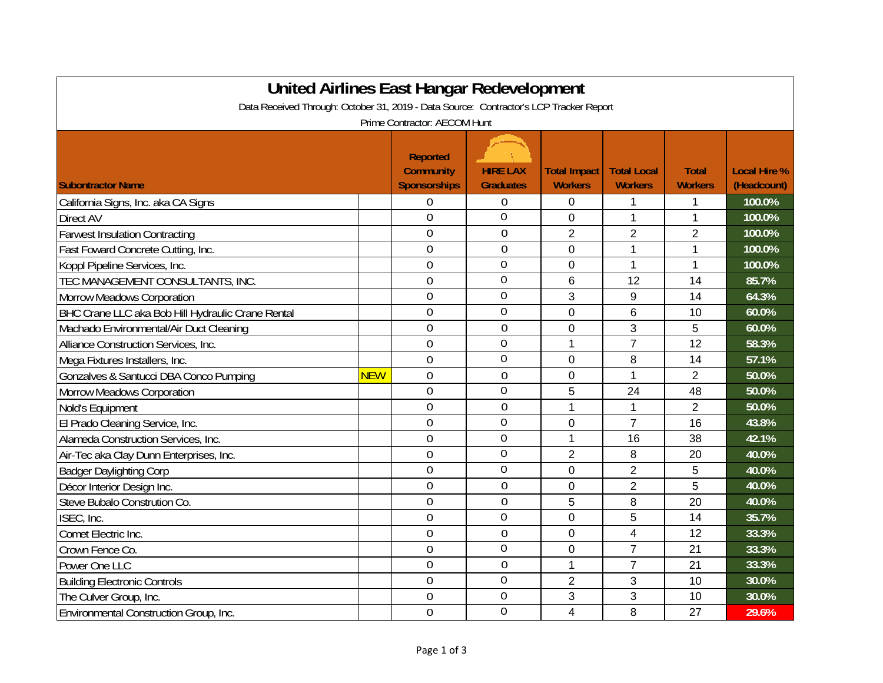| United Airlines East Hangar Redevelopment                                              |            |                                                            |                                     |                                       |                                      |                                |                                    |  |  |
|----------------------------------------------------------------------------------------|------------|------------------------------------------------------------|-------------------------------------|---------------------------------------|--------------------------------------|--------------------------------|------------------------------------|--|--|
| Data Received Through: October 31, 2019 - Data Source: Contractor's LCP Tracker Report |            |                                                            |                                     |                                       |                                      |                                |                                    |  |  |
| Prime Contractor: AECOM Hunt                                                           |            |                                                            |                                     |                                       |                                      |                                |                                    |  |  |
| <b>Subontractor Name</b>                                                               |            | <b>Reported</b><br><b>Community</b><br><b>Sponsorships</b> | <b>HIRE LAX</b><br><b>Graduates</b> | <b>Total Impact</b><br><b>Workers</b> | <b>Total Local</b><br><b>Workers</b> | <b>Total</b><br><b>Workers</b> | <b>Local Hire %</b><br>(Headcount) |  |  |
| California Signs, Inc. aka CA Signs                                                    |            | 0                                                          | 0                                   | 0                                     | 1                                    | 1                              | 100.0%                             |  |  |
| Direct AV                                                                              |            | $\overline{0}$                                             | $\overline{0}$                      | 0                                     | 1                                    | 1                              | 100.0%                             |  |  |
| <b>Farwest Insulation Contracting</b>                                                  |            | $\mathbf 0$                                                | $\mathbf 0$                         | $\overline{2}$                        | $\overline{2}$                       | $\overline{2}$                 | 100.0%                             |  |  |
| Fast Foward Concrete Cutting, Inc.                                                     |            | $\mathbf{0}$                                               | $\mathbf 0$                         | $\mathbf 0$                           | 1                                    | 1                              | 100.0%                             |  |  |
| Koppl Pipeline Services, Inc.                                                          |            | $\overline{0}$                                             | $\overline{0}$                      | 0                                     | 1                                    | 1                              | 100.0%                             |  |  |
| TEC MANAGEMENT CONSULTANTS, INC.                                                       |            | $\overline{0}$                                             | $\overline{0}$                      | 6                                     | 12                                   | 14                             | 85.7%                              |  |  |
| Morrow Meadows Corporation                                                             |            | $\overline{0}$                                             | 0                                   | 3                                     | 9                                    | 14                             | 64.3%                              |  |  |
| BHC Crane LLC aka Bob Hill Hydraulic Crane Rental                                      |            | $\overline{0}$                                             | $\overline{0}$                      | $\overline{0}$                        | $6\phantom{1}$                       | 10                             | 60.0%                              |  |  |
| Machado Environmental/Air Duct Cleaning                                                |            | $\overline{0}$                                             | $\mathbf 0$                         | $\mathbf 0$                           | 3                                    | 5                              | 60.0%                              |  |  |
| Alliance Construction Services, Inc.                                                   |            | 0                                                          | $\overline{0}$                      | 1                                     | $\overline{7}$                       | 12                             | 58.3%                              |  |  |
| Mega Fixtures Installers, Inc.                                                         |            | $\overline{0}$                                             | 0                                   | 0                                     | 8                                    | 14                             | 57.1%                              |  |  |
| Gonzalves & Santucci DBA Conco Pumping                                                 | <b>NEW</b> | $\overline{0}$                                             | $\overline{0}$                      | $\overline{0}$                        | 1                                    | $\overline{2}$                 | 50.0%                              |  |  |
| <b>Morrow Meadows Corporation</b>                                                      |            | 0                                                          | 0                                   | 5                                     | 24                                   | 48                             | 50.0%                              |  |  |
| Nold's Equipment                                                                       |            | 0                                                          | $\mathbf 0$                         | 1                                     | $\mathbf{1}$                         | $\overline{2}$                 | 50.0%                              |  |  |
| El Prado Cleaning Service, Inc.                                                        |            | $\overline{0}$                                             | 0                                   | 0                                     | $\overline{7}$                       | 16                             | 43.8%                              |  |  |
| Alameda Construction Services, Inc.                                                    |            | $\overline{0}$                                             | 0                                   | 1                                     | 16                                   | 38                             | 42.1%                              |  |  |
| Air-Tec aka Clay Dunn Enterprises, Inc.                                                |            | $\overline{0}$                                             | $\overline{0}$                      | $\overline{2}$                        | 8                                    | 20                             | 40.0%                              |  |  |
| <b>Badger Daylighting Corp</b>                                                         |            | $\overline{0}$                                             | 0                                   | 0                                     | $\overline{2}$                       | 5                              | 40.0%                              |  |  |
| Décor Interior Design Inc.                                                             |            | $\overline{0}$                                             | $\mathbf 0$                         | 0                                     | $\overline{2}$                       | 5                              | 40.0%                              |  |  |
| Steve Bubalo Constrution Co.                                                           |            | $\overline{0}$                                             | $\mathbf 0$                         | 5                                     | 8                                    | 20                             | 40.0%                              |  |  |
| ISEC, Inc.                                                                             |            | $\mathbf 0$                                                | 0                                   | $\mathbf 0$                           | 5                                    | 14                             | 35.7%                              |  |  |
| Comet Electric Inc.                                                                    |            | $\overline{0}$                                             | $\mathbf 0$                         | 0                                     | 4                                    | 12                             | 33.3%                              |  |  |
| Crown Fence Co.                                                                        |            | $\overline{0}$                                             | 0                                   | 0                                     | $\overline{7}$                       | 21                             | 33.3%                              |  |  |
| Power One LLC                                                                          |            | 0                                                          | $\mathbf 0$                         | 1                                     | $\overline{7}$                       | 21                             | 33.3%                              |  |  |
| <b>Building Electronic Controls</b>                                                    |            | $\overline{0}$                                             | 0                                   | $\overline{2}$                        | 3                                    | 10                             | 30.0%                              |  |  |
| The Culver Group, Inc.                                                                 |            | $\overline{0}$                                             | 0                                   | 3                                     | $\sqrt{3}$                           | 10                             | 30.0%                              |  |  |
| Environmental Construction Group, Inc.                                                 |            | $\overline{0}$                                             | 0                                   | $\overline{4}$                        | 8                                    | 27                             | 29.6%                              |  |  |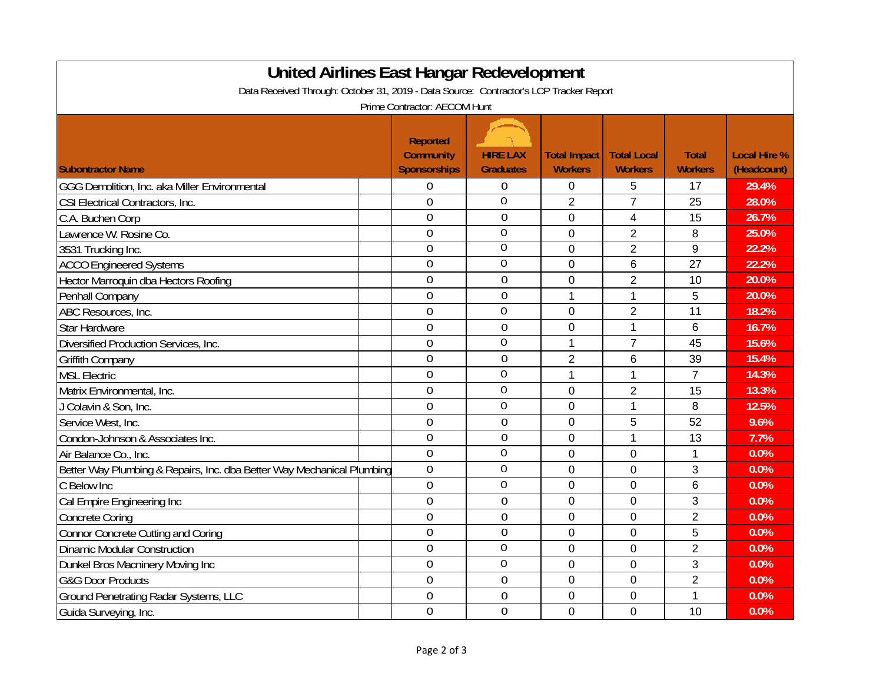| <b>United Airlines East Hangar Redevelopment</b>                                       |  |                     |                  |                     |                    |                |                     |  |
|----------------------------------------------------------------------------------------|--|---------------------|------------------|---------------------|--------------------|----------------|---------------------|--|
| Data Received Through: October 31, 2019 - Data Source: Contractor's LCP Tracker Report |  |                     |                  |                     |                    |                |                     |  |
| Prime Contractor: AECOM Hunt                                                           |  |                     |                  |                     |                    |                |                     |  |
|                                                                                        |  |                     |                  |                     |                    |                |                     |  |
|                                                                                        |  | <b>Reported</b>     |                  |                     |                    |                |                     |  |
|                                                                                        |  | <b>Community</b>    | <b>HIRE LAX</b>  | <b>Total Impact</b> | <b>Total Local</b> | <b>Total</b>   | <b>Local Hire %</b> |  |
| <b>Subontractor Name</b>                                                               |  | <b>Sponsorships</b> | <b>Graduates</b> | <b>Workers</b>      | <b>Workers</b>     | <b>Workers</b> | (Headcount)         |  |
| GGG Demolition, Inc. aka Miller Environmental                                          |  | $\overline{0}$      | $\boldsymbol{0}$ | 0                   | 5                  | 17             | 29.4%               |  |
| CSI Electrical Contractors, Inc.                                                       |  | $\theta$            | $\overline{0}$   | $\overline{2}$      | $\overline{7}$     | 25             | 28.0%               |  |
| C.A. Buchen Corp                                                                       |  | $\overline{0}$      | $\overline{0}$   | $\mathbf 0$         | $\overline{4}$     | 15             | 26.7%               |  |
| Lawrence W. Rosine Co.                                                                 |  | $\overline{0}$      | $\overline{0}$   | 0                   | $\overline{2}$     | 8              | 25.0%               |  |
| 3531 Trucking Inc.                                                                     |  | $\overline{0}$      | $\overline{0}$   | 0                   | $\overline{2}$     | 9              | 22.2%               |  |
| <b>ACCO Engineered Systems</b>                                                         |  | $\theta$            | $\overline{0}$   | $\overline{0}$      | 6                  | 27             | 22.2%               |  |
| Hector Marroquin dba Hectors Roofing                                                   |  | $\overline{0}$      | $\overline{0}$   | 0                   | $\overline{2}$     | 10             | 20.0%               |  |
| Penhall Company                                                                        |  | $\overline{0}$      | $\overline{0}$   | $\mathbf{1}$        | $\mathbf 1$        | 5              | 20.0%               |  |
| ABC Resources, Inc.                                                                    |  | $\theta$            | $\overline{0}$   | 0                   | $\overline{2}$     | 11             | 18.2%               |  |
| <b>Star Hardware</b>                                                                   |  | $\overline{0}$      | $\overline{0}$   | $\overline{0}$      | $\mathbf{1}$       | $6\phantom{1}$ | 16.7%               |  |
| Diversified Production Services, Inc.                                                  |  | $\overline{0}$      | $\overline{0}$   | 1                   | $\overline{7}$     | 45             | 15.6%               |  |
| Griffith Company                                                                       |  | $\overline{0}$      | $\overline{0}$   | $\overline{2}$      | 6                  | 39             | 15.4%               |  |
| <b>MSL Electric</b>                                                                    |  | $\theta$            | $\theta$         | $\mathbf{1}$        | 1                  | $\overline{7}$ | 14.3%               |  |
| Matrix Environmental, Inc.                                                             |  | $\overline{0}$      | $\overline{0}$   | 0                   | $\overline{2}$     | 15             | 13.3%               |  |
| J Colavin & Son, Inc.                                                                  |  | $\theta$            | $\overline{0}$   | $\overline{0}$      | $\mathbf{1}$       | 8              | 12.5%               |  |
| Service West, Inc.                                                                     |  | $\overline{0}$      | $\overline{0}$   | 0                   | 5                  | 52             | 9.6%                |  |
| Condon-Johnson & Associates Inc.                                                       |  | $\overline{0}$      | $\overline{0}$   | 0                   | $\mathbf 1$        | 13             | 7.7%                |  |
| Air Balance Co., Inc.                                                                  |  | $\theta$            | $\overline{0}$   | 0                   | $\mathbf 0$        | 1              | 0.0%                |  |
| Better Way Plumbing & Repairs, Inc. dba Better Way Mechanical Plumbing                 |  | $\overline{0}$      | $\overline{0}$   | 0                   | $\mathbf 0$        | 3              | 0.0%                |  |
| C Below Inc                                                                            |  | $\overline{0}$      | $\overline{0}$   | 0                   | $\mathbf 0$        | 6              | 0.0%                |  |
| Cal Empire Engineering Inc                                                             |  | $\theta$            | $\overline{0}$   | 0                   | $\mathbf 0$        | 3              | 0.0%                |  |
| <b>Concrete Coring</b>                                                                 |  | $\theta$            | $\theta$         | 0                   | 0                  | $\overline{2}$ | 0.0%                |  |
| <b>Connor Concrete Cutting and Coring</b>                                              |  | $\overline{0}$      | $\overline{0}$   | 0                   | 0                  | 5              | 0.0%                |  |
| <b>Dinamic Modular Construction</b>                                                    |  | $\overline{0}$      | $\overline{0}$   | $\overline{0}$      | $\mathbf 0$        | $\overline{2}$ | 0.0%                |  |
| Dunkel Bros Macninery Moving Inc                                                       |  | $\overline{0}$      | $\mathbf 0$      | 0                   | $\mathbf 0$        | 3              | 0.0%                |  |
| <b>G&amp;G Door Products</b>                                                           |  | $\overline{0}$      | $\overline{0}$   | 0                   | $\mathbf 0$        | $\overline{2}$ | 0.0%                |  |
| <b>Ground Penetrating Radar Systems, LLC</b>                                           |  | $\overline{0}$      | $\overline{0}$   | 0                   | $\mathbf 0$        | 1              | 0.0%                |  |
| Guida Surveying, Inc.                                                                  |  | $\overline{0}$      | $\overline{0}$   | $\overline{0}$      | $\mathbf 0$        | 10             | 0.0%                |  |